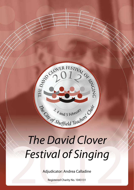

# The David Clover<br>Festival of Singing<br>Adjudicator: Andrea Calladine *The David Clover Festival of Singing*

Adjudicator: Andrea Calladine

Registered Charity No. 1043131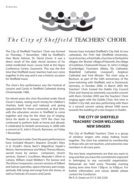

## The  $City$  of  $Sheffield$  TEACHERS' CHOIR

The City of Sheffield Teachers' Choir was formed on Thursday, 7 November, 1968 by Sheffield's then Music Adviser, Dr. David Clover. It was a direct result of the daily choral sessions of his initial residential music course held at the Hayes Conference Centre, Swanwick. This was the first time that Sheffield music teachers had ever come together in this way and it was a historic occasion for Sheffield music.

The choir's first performance was the Festival of Lessons and Carols in Sheffield Cathedral during Christmastide 1968.

For eleven years the choir flourished under David Clover's baton, raising much money for children's charities, both local and national, and giving opportunities for those connected, at that time, with the education service in Sheffield to come together and sing for the sheer joy of singing. Since his death in January 1979 the choir has continued to perform both at home and abroad. It celebrated its fortieth anniversary in 2008 with a concert at St. John's Church, Ranmoor, on Friday 7 November.

The repertoire is wide. Over the years performances have included Mozart's *Requiem,* Dvorak's *Mass in D,* Vivaldi's *Gloria,* Bach's *Magnificat,* Haydn's *Nelson, Harmoniemesse and Maria Theresa Masses*, sacred music by various composers, church services, Stainer's *Crucifixion,* Maunder's *Olivet to Calvary,* William Lloyd Webber's *The Saviour* and *The Divine Compassion*, concert versions of Gilbert and Sulivan operettas, opera choruses, part songs, spirtuals, folk songs and songs from the shows, as well as Festivals of Lessons and Carols.

Venues have included Sheffield's City Hall, its two cathedrals, the Firth Hall (Sheffield University), local churches, school halls, churches in Derbyshire villages, the 'Bronte' village of Haworth, the village of Castleton, Chatsworth House, St. John's College (Cambridge), Fountains Abbey, Ely Cathedral, Wakefield Cathedral, Liverpool's Anglican Cathedral and York Minster. The choir sang in Bochum, as part of the 50th anniversary of the town-twinning with Sheffield, and in Dortmund, Germany, in October 2000. In March 2005 the Teachers' Choir hosted the Dublin City Council Choir and shared an extremely successful concert with them. October 2005 saw the Teachers' Choir singing again with the Dublin Choir, this time in Dublin's City Hall, and also performing with them in a second concert raising almost 5000 euros towards the building of a new hospice in Dublin.

## **THE CITY OF SHEFFIELD TEACHERS' CHOIR WELCOMES NEW SINGERS**

The City of Sheffield Teachers' Choir is a group of amateur singers who enjoy making music together. The choir has widened its membership to those who are not teachers, and welcomes new members in all voice parts.

The two basic requirements are that you want to sing and that you have the commitment expected in belonging to any successful organisation. Rehearsals are held every Thursday evening during term time from 7.00p.m. to 9.00p.m. For further information and venue details please contact the Conductor:

Mr R. D. Green on 0113 256 5320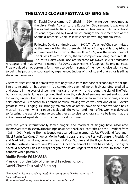## **THE David Clover Festival of Singing**



Dr. David Clover came to Sheffield in 1966 having been appointed as the city's Music Adviser to the Education Department. It was one of the earliest residential courses for music teachers and its daily choral sessions, organised by David, which brought the first members of the Sheffield Teachers' Choir (as it was then known) together in 1968.

Following David's untimely death in 1979, The Teachers' Choir committee at the time decided that there should be a fitting and lasting tribute and memorial to his work. The result, in 1979, was the establishing of *The David Clover Vocal Prize*, the first competition being held in 1980. *The David Clover Vocal Prize* later became *The David Clover Competition* 

*for Singers*, and in 2010 was re-named *The David Clover Festival of Singing*. The original *Vocal Prize* provided an opportunity for singers to perform songs of their own choice with a view to being helped and encouraged by experienced judges of singing, and that ethos is still as strong as it ever was.

*The Vocal Prize* started in a small way with only two classes for those of secondary school age. Since its inception, it has grown into a competitive event of worth, high standing, credibility and stature in the eyes of discerning musicians not only in and around the city of Sheffield, but also nationally. It has also proved itself a worthy vehicle of encouragement and support for young singers, but the Festival is now open to **all** singers from the age of nine, and its chief objective is to foster this branch of music making which was ever one of Dr. Clover's greatest loves - singing. He strongly maintained, as others have done, that everyone has a musical instrument which can be developed - the voice - and much of his work was devoted to fostering the use of young voices whether as soloists or choralists. He believed that the voice deserved equal status with other musical instruments.

Over the years, internationally famed singers and teachers of singing have associated themselves with this festival including Constance Shacklock (contralto and the President from 1985 - 1999), Marjorie Thomas (contralto), Jean Allister (contralto), Rae Woodland (soprano), Nigel Perrin (ex-Kings Singers), Mollie Petrie (soprano and the Festival's current President) and Mark Wildman (bass, currently Head of Vocal Studies and the Royal Academy of Music and the Festival's current Vice-President). Once the annual Festival has ended, *The City of Sheffield Teachers' Choir* is always delighted to invite singers from the Festival to share in its concerts when possible.

#### **Mollie Petrie** *FGSM FRSA*

President of the City of Sheffield Teachers' Choir, David Clover Festival of Singing

*"Everyone's voice was suddenly lifted; And beauty came like the setting sun."* (Siegfried Sassoon) *My warmest wishes to you all for another successful Festival.*

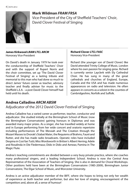

## **Mark Wildman** *FRAM FRSA*

Vice-President of the City of Sheffield Teachers' Choir, David Clover Festival of Singing

#### **James Kirkwood** *LRAM LTCL ARCM* Honorary Vice-President

On David's death in January 1979 he took over the conductorship of Sheffield Teachers' Choir and with the support of Rupert Norris and the choir committee, set up 'The David Clover Festival of Singing' as a lasting tribute and memorial to this man who had done so much to direct James' future career as teacher, advisory teacher and finally adviser for music to the Sheffield L.E.A. - a post David Clover himself had held until his death.

#### **Richard Clover** *LTCL FASC* Honorary Vice-President

Richard (the younger son of David Clover) like David attended Trinity College of Music, London where his own passion for singing grew. Richard is currently senior Layclerk with Ely Cathedral Choir. He has sung in many of the great cathedrals and churches of England, Europe, Canada and the USA and has made numerous appearances on radio and television. He often appears in concerts as a soloist in the counties of Cambridgeshire, Norfolk and Suffolk.

## **Andrea Calladine** *ARCM ABSM*

## Adjudicator of the 2012 David Clover Festival of Singing

Andrea Calladine has a varied career as performer, teacher, conductor and adjudicator. She studied initially at the Birmingham School of Music (now the Birmingham Conservatoire) gaining honours in Diplomas and was awarded many major prizes. As a singer, she has travelled widely at home and in Europe performing from her wide concert and oratorio repertoire including performances of The Messiah and The Creation through the Mozart Masses to Dvorak's Stabat Mater, the Requiems of Brahms, Fauré and Rutter, and she has made radio broadcasts. Operatic roles have included Despina in Così fan Tutti; Miss Wordsworth in Britten's Albert Herring; Adele and Rosalinda in Die Fledermaus; Dido in Dido and Aeneas; Pamina in The Magic Flute.



Andrea's teaching commitments are divided between a very busy private practice, where she coaches many professional singers, and a leading Independent School. Andrea is now the Central Area Representative of the Association of Teachers of Singing. She is also in demand for Choral Workshops. Other positions held have been at the Birmingham Conservatoire (1985-2009), Birmingham Junior Conservatoire, The Elgar School of Music, and Worcester University.

Andrea is an active adjudicator member of the BIFF, where she hopes to bring not only her wealth of experience as both teacher and performer, but also her love of singing, encouragement of the competitors and, above all, a sense of humour!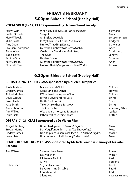## **FRIDAY 3 FEBRUARY 5.00pm Birkdale School (Heeley Hall)**

#### **VOCAL SOLO (9 - 12) CLASS sponsored by Hallam Choral Society**

| Robyn Gair         | When You Believe (The Prince of Egypt)  | Schwartz            |
|--------------------|-----------------------------------------|---------------------|
| Caitlin O'Toole    | Seagull                                 | Marsh               |
| Mary Wilcock       | An Eriskay Love Lilt                    | arr. Kennedy-Fraser |
| Millie Scott       | In My Own Little Corner (Cinderella)    | Rodgers             |
| Amy Coan           | I'm Not That Girl (Wicked)              | Schwartz            |
| Ella-Sian Thompson | Over the Rainbow (The Wizard of Oz)     | Arlen               |
| Alana Wroe         | Castle on a Cloud (Les Misérables)      | Schönberg           |
| Isabel Lovell      | The Owls                                | Jenkyns             |
| Tabitha Smart      | Heidenröslein                           | Schubert            |
| Katy Gordon        | Over the Rainbow (The Wizard of Oz)     | Arlen               |
| Elisabeth Tew      | I'm Not Afraid (Songs from a New World) | Brown               |

## **6.30pm Birkdale School (Heeley Hall)**

#### **BRITISH SONG (17 - 21) CLASS sponsored by Dr Peter Humphries**

| Joelle Brabban   | Madonna and Child              | Thiman                 |
|------------------|--------------------------------|------------------------|
| Lindsey James    | Come Sing and Dance            | Howells                |
| Abigail Kitching | I Wondered Lonely as a Cloud   | Thiman                 |
| Olivia Caputa    | It Was a Lover and His Lass    | Dring                  |
| Rosa Hardy       | Heffle Cuckoo Fair             | Shaw                   |
| Kate Smith       | Take, O take those lips away   | Dring                  |
| Anita Chandran   | The Cherry Tree                | <b>Armstrong Gibbs</b> |
| Ann Wilkes       | Weep ye no more, sad fountains | Ouilter                |
| Laura Lister     | If thou wilt ease thine heart  | <b>Britten</b>         |

#### **OPERA (17 - 21) CLASS sponsored by Dr Vivien Pike**

| Abigail Kitching | Un moto di gioia (Le Nozze di Figaro)                 | Mozart |
|------------------|-------------------------------------------------------|--------|
| Brogan Hume      | Der Vogelfänger bin ich ja (Die Zauberflöte)          | Mozart |
| Lindsey James    | Non so più cosa son, cosa faccio (Le Nozze di Figaro) | Mozart |
| Laura Lister     | Una donna a quindici anni (Così fan tutte)            | Mozart |

#### **SENIOR RECITAL (18 - 21) CLASS sponsored by Mr Jack Senior in memory of his wife, Barbara**

| Ann Wilkes  | Sweeter than Roses     | Purcell          |
|-------------|------------------------|------------------|
|             | Das Veilchen           | Mozart           |
|             | If I Were a Blackbird  | trad.            |
|             | Air Vif                | Poulenc          |
| Debra Finch | Sequidilla (Carmen)    | Bizet            |
|             | Le Parfum impérissable | Fauré            |
|             | Cariad cyntaf          | trad.            |
|             | Silent Noon            | Vaughan Williams |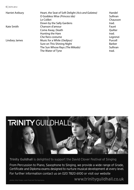6 | DCFS 2012

| <b>Harriet Astbury</b> | Heart, the Seat of Soft Delight (Acis and Galatea) | Handel   |
|------------------------|----------------------------------------------------|----------|
|                        | O Goddess Wise (Princess Ida)                      | Sullivan |
|                        | Le Colibri                                         | Chausson |
|                        | Down by the Sally Gardens                          | trad.    |
| Kate Smith             | Chanson d'amour                                    | Fauré    |
|                        | Come Away, Death                                   | Ouilter  |
|                        | Hunting the Hare                                   | trad.    |
|                        | Che fiero costume                                  | Legrenzi |
| Lindsey James          | Music for a While (Oedipus)                        | Purcell  |
|                        | Sure on This Shining Night                         | Barber   |
|                        | The Sun Whose Rays (The Mikado)                    | Sullivan |
|                        | The Water of Tyne                                  | trad.    |



Trinity Guildhall is delighted to support the David Clover Festival of Singing

From Percussion to Piano, Saxophone to Singing, we provide a wide range of Grade, Certificate and Diploma exams designed to nurture musical development at every level. For further information contact us on 020 7820 6100 or visit our website

photos: Alice Snape, Louis Flood and Tas Kyprianou

www.trinityguildhall.co.uk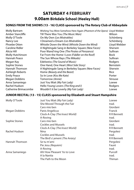## **SATURDAY 4 FEBRUARY 9.00am Birkdale School (Heeley Hall)**

#### **SONGS FROM THE SHOWS (13 - 16) CLASS sponsored by The Rotary Club of Abbeydale**

| <b>Molly Bartram</b>  | Wishing You Were Somehow Here Again (Phantom of the Opera) Lloyd Webber |                |
|-----------------------|-------------------------------------------------------------------------|----------------|
| Amber Stancliffe      | Till There Was You (The Music Man)                                      | Wilson         |
| Molly O'Toole         | On My Own (Les Misérables)                                              | Schönberg      |
| Nancy Lee             | I Dreamed a Dream (Les Misérables)                                      | Schönberg      |
| Phoebe Otten          | Whistle Down the Wind (Whistle Down the Wind)                           | Lloyd Webber   |
| Caroline Ridler       | A Nightingale Sang in Berkeley Square (New Faces)                       | Sherwin        |
| Alicia Hill           | Poor Wand'ring One (The Pirates of Penzance)                            | Sullivan       |
| Molly Hutchinson      | Far From the Home I Love (Fiddler on the Roof)                          | Bock           |
| Hannah Peace          | The Sun Whose Rays (The Mikado)                                         | Sullivan       |
| Megan Kay             | Edelweiss (The Sound of Music)                                          | Rodgers        |
| Sophie Stones         | One Hand, One Heart (West Side Story)                                   | Bernstein      |
| <b>Hannah Thomson</b> | A Nightingale Sang in Berkeley Square (New Faces)                       | Sherwin        |
| Ashleigh Roberts      | Home (Beauty and the Beast)                                             | Rice           |
| <b>Emily Peace</b>    | So In Love (Kiss Me Kate)                                               | Porter         |
| Megan Dobbins         | Tomorrow (Annie)                                                        | <b>Strouse</b> |
| Anna Samaniego        | Just You Wait (My Fair Lady)                                            | Loewe          |
| Rachel Hudson         | Hello Young Lovers (The King and I)                                     | Rodgers        |
| Catherine Brimacombe  | Wouldn't it be Loverly (My Fair Lady)                                   | Loewe          |

#### **JUNIOR RECITAL (13 - 15) CLASS sponsored by Elizabeth and Stuart Hampshire**

| Molly O'Toole  | Just You Wait (My Fair Lady)    | Loewe              |
|----------------|---------------------------------|--------------------|
|                | She Moved Through the Fair      | trad.              |
|                | Caro mio ben                    | Giordani           |
| Megan Dobbins  | Panis Angelicus                 | Franck             |
|                | Clock-A-Clay (The Insect World) | <b>R R Bennett</b> |
|                | A-Roving                        | trad.              |
| Sophie Stones  | Caro mio ben                    | Giordani           |
|                | <b>Cockles and Mussels</b>      | trad.              |
|                | Clock-A-Clay (The Insect World) | <b>R R Bennett</b> |
| Rachel Hudson  | Nina                            | Pergolesi          |
|                | Cockles and Mussels             | trad.              |
|                | The Bird's Lament (The Aviary)  | R R Bennett        |
| Hannah Thomson | Se tu m'ami                     | Pergolesi          |
|                | Pie Jesu (Requiem)              | Fauré              |
|                | A-Roving                        | trad.              |
| Anna Samaniego | Ah! How Pleasant 'tis to Love   | Purcell            |
|                | A la Nanita                     | trad.              |
|                | The Path to the Moon            | Thiman             |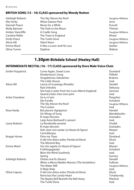#### **BRITISH SONG (13 - 16) CLASS sponsored by Wendy Nutton**

| Ashleigh Roberts     | The Sky Above the Roof      | Vaughan Williams |
|----------------------|-----------------------------|------------------|
| Ella Verity          | <b>When Daisies Pied</b>    | Arne             |
| Hannah Peace         | Music for a While           | Purcell          |
| <b>Molly Bartram</b> | The Path to the Moon        | Thiman           |
| Amber Stancliffe     | A Cradle Song               | Vaughan Williams |
| Caroline Ridler      | The Trees in England        | Wood             |
| <b>Emily Peace</b>   | The Turtle Dove             | Vaughan Williams |
| Alicia Hill          | Silent Noon                 | Vaughan Williams |
| Emma Ward            | It Was a Lover and His Lass | <b>Ouilter</b>   |
| Olivia Turner        | Daphne                      | Walton           |

## **1.30pm Birkdale School (Heeley Hall)**

## **INTERMEDIATE RECITAL (16 - 17) CLASS sponsored by Dore Male Voice Choir**

| <b>Emilie Fitzpatrick</b> | Come Again, Sweet Love<br>Desdemona's Song<br>Vergebliches Ständchen | Dowland<br>Pitfield<br><b>Brahms</b> |
|---------------------------|----------------------------------------------------------------------|--------------------------------------|
| Alicia Hill               | The Little Horses<br>Lascia ch'io pianga (Rinaldo)<br>Nuit d'étoiles | trad.<br>Handel<br>Debussy           |
|                           | She had a Letter from her Love (Merrie England)                      | German                               |
|                           | Quand j'etais chez mon pere                                          | trad.                                |
| Anita Chandran            | Se tu m'ami                                                          | Pergolesi                            |
|                           | Die Forelle                                                          | Schubert                             |
|                           | The Sky Above the Roof                                               | Vaughan Williams                     |
|                           | The Cuckoo                                                           | trad                                 |
| Rosa Hardy                | Bel piacere (Agrippina)                                              | Handel                               |
|                           | On Wings of Song                                                     | Mendelssohn                          |
|                           | El majo discreto                                                     | Granados                             |
|                           | Lady Anne Bothwell's Lament                                          | trad.                                |
| Laura Roberts             | La Rondinella amante                                                 | Vivaldi                              |
|                           | El majo discreto                                                     | Granados                             |
|                           | Deh vieni non tardar (Le Nozze di Figaro)                            | Mozart                               |
|                           | Carrickfergus                                                        | trad.                                |
| Brogan Hume               | Flow my Tears                                                        | Dowland                              |
|                           | O del mio dolce ardor (Paride ed Elena)                              | Gluck                                |
|                           | The Minstrel Boy                                                     | trad.                                |
| Emma Ward                 | Voi che sapete (Le Nozze di Figaro)                                  | Mozart                               |
|                           | Frühlingsglaube                                                      | Schubert                             |
|                           | Blow the Wind Southerly                                              | trad.                                |
|                           | Spring                                                               | Gurney                               |
| Ashleigh Roberts          | Ombra mai fù (Xerxes)                                                | Handel                               |
|                           | When a Merry Maiden Marries (The Gondoliers)                         | Sullivan                             |
|                           | The Water Mill                                                       | Vaughan Williams                     |
|                           | O Waly Waly                                                          | trad.                                |
| Olivia Caputa             | O del mio dolce ardor (Paride ed Elena)                              | Gluck                                |
|                           | None but the Lonely Heart                                            | Tchaikovsky                          |
|                           | The Bayley Bell Beareth the Bell Away                                | Warlock                              |
|                           | The Turtle Dove                                                      | trad.                                |
|                           |                                                                      |                                      |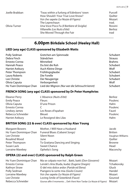| Joelle Brabban | 'Twas within a furlong of Edinboro' town   | Purcell |
|----------------|--------------------------------------------|---------|
|                | How Should I Your True Love Know?          | Ouilter |
|                | Voi che sapete (Le Nozze di Figaro)        | Mozart  |
|                | The Leprechaun                             | trad.   |
| Olivia Turner  | Una Voce Poco Fa (Il Barbiere di Siviglia) | Rossini |
|                | Villanelle (Les Nuits d'été)               | Berlioz |
|                | She Moved Through the Fair                 | trad    |

## **6.00pm Birkdale School (Heeley Hall)**

#### **LIED (any age) CLASS sponsored by Elizabeth Watts**

| Polly Sedman           | Gretchen am Spinnrade                         | Schubert       |
|------------------------|-----------------------------------------------|----------------|
| Debra Finch            | Ständchen                                     | <b>Strauss</b> |
| Ernesto Correa         | Minnelied                                     | <b>Brahms</b>  |
| Hannah Peace           | Du bist die Ruh                               | Schubert       |
| <b>Harriet Astbury</b> | Auch Kleine Dinge                             | Wolf           |
| Peter Thompson         | Frühlingsglaube                               | Schubert       |
| Laura Roberts          | Die Forelle                                   | Schubert       |
| Lee Christie           | Der Neugierige                                | Schubert       |
| Olivia Caputa          | Verborgenheit                                 | Wolf           |
| Ho Yuen Dominique Chan | Lied der Mignon (Nur wer die Sehnsucht kennt) | Schubert       |

#### **FRENCH SONG (any age) CLASS sponsored by Dr Peter Humphries**

| Eleanor Perry          | L'Absence (Nuits d'été) | Berlioz |
|------------------------|-------------------------|---------|
| <b>Emily Peace</b>     | <b>Fleurs</b>           | Poulenc |
| Olivia Caputa          | D'une Prison            | Hahn    |
| Ernesto Correa         |                         | Poulenc |
| Lindsey James          | Les Roses d'Ispahan     | Fauré   |
| Rebecca Schneider      | <b>Bleuet</b>           | Poulenc |
| <b>Harriet Astbury</b> | Le Rossignol des Lilas  | Hahn    |

#### **BRITISH SONG (22 & over) CLASS sponsored by Alan Young**

| <b>Margaret Bowers</b> | Mother, I Will Have a Husband   | Jacob            |
|------------------------|---------------------------------|------------------|
| Ho Yuen Dominique Chan | Funeral Blues (Cabaret Songs)   | <b>Britten</b>   |
| Lee Christie           | Silent Noon                     | Vaughan Williams |
| Rosalind Wood          | June                            | Ouilter          |
| Peter Thompson         | To Gratiana Dancing and Singing | <b>Browne</b>    |
| Susan Lack             | Sweet Chance                    | Head             |
| Lorraine Mawbey        | Ophelia's Song                  | Maconchy         |

#### **OPERA (22 and over) CLASS sponsored by Ralph Green**

| Ho Yuen Dominique Chan | Ma se colpaio non ho!  Batti, batti (Don Giovanni)                        | Mozart      |
|------------------------|---------------------------------------------------------------------------|-------------|
| Ernesto Correa         | Lenski's Aria (Kuda, kuda) (Eugene Onegin)                                | Tchaikovsky |
| Kathryn Straw          | O del mio dolce ardor (Paride ed Elena)                                   | Gluck       |
| Polly Sedman           | Piangero la sorte mia (Giulio Cesare)                                     | Handel      |
| Lorraine Mawbey        | Voi che sapete (Le Nozze di Figaro)                                       | Mozart      |
| Lee Christie           | Loving Smile of Sisterkind (Faust)                                        | Gounod      |
| Rebecca Schneider      | Giunse alfin il momento  Deh Vieni Non Tardar (Le Nozze di Figaro) Mozart |             |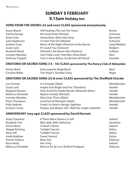## **SUNDAY 5 FEBRUARY 9.15am Holiday Inn**

#### **SONG FROM THE SHOWS (22 and over) CLASS sponsored anonymously**

| Grace Mason             | Still Hurting (The Last Five Years)           | Brown        |
|-------------------------|-----------------------------------------------|--------------|
| Varsha George           | No Good Deed (Wicked)                         | Schwartz     |
| Anita Coan              | Somewhere (West Side Story)                   | Bernstein    |
| Julie Hopkinson         | I'm Not That Girl (Wicked)                    | Schwartz     |
| Andrew Coan             | Music of the Night (Phantom of the Opera)     | Lloyd Webber |
| Susan Lack              | If I Loved You (Carousel)                     | Rodgers      |
| Rosalind Wood           | Silvered is the Raven Hair (Patience)         | Sullivan     |
| Lorraine Mawbey         | Can't Help Lovin' that Man (Show Boat)        | Kern         |
| <b>Anthony Trippett</b> | Yam is horas felices (La del Soto del Parral) | Soutullo     |

#### **ORATORIO OR SACRED SONG (13 - 16) CLASS sponsored by The Rotary Club of Abbeydale**

| Emma Ward       | Quia respexit (Magnificat) | Bach  |
|-----------------|----------------------------|-------|
| Caroline Ridler | The Virgin's Slumber Song  | Reger |

#### **ORATORIO OR SACRED SONG (22 & over) CLASS sponsored by The Sheffield Chorale**

| Lee Christie           | It is Enough (Elijah)                               | Mendelssohn |
|------------------------|-----------------------------------------------------|-------------|
| Susan Lack             | Angels Ever Bright and Fair (Theodora)              | Handel      |
| <b>Margaret Bowers</b> | Here Amid the Shady Woods (Alexander Balus)         | Handel      |
| Rebecca Schneider      | Rejoice Greatly (Messiah)                           | Handel      |
| Lorraine Mawbey        | Woe Unto Them (Elijah)                              | Mendelssohn |
| Peter Thompson         | Lord God of Abraham (Elijah)                        | Mendelssohn |
| Polly Sedman           | Freely I to Heav'n Resign (Jephtha)                 | Handel      |
| Ernesto Correa         | Deeper and deeper still / Waft her angels (Jephtha) | Handel      |

#### **ANNIVERSARY (any age) CLASS sponsored by David Durrant**

| Anita Chandran         | If There Were Dreams to Sell            | Ireland       |
|------------------------|-----------------------------------------|---------------|
| Elisabeth Tew          | Blah, Blah, Blah (Delicious)            | Gershwin      |
| Emma Ward              | A Heart's Desire                        | Ireland       |
| Abigail Kitching       | <b>Twilight Fancies</b>                 | Delius        |
| Alicia Hill            | <b>Twilight Fancies</b>                 | <b>Delius</b> |
| Joelle Brabban         | Sweet Venevil                           | <b>Delius</b> |
| <b>Harriet Astbury</b> | Beau Soir                               | Debussy       |
| Rosa Hardy             | Her Song                                | Ireland       |
| Rebecca Schneider      | Récit et Air de Lia (L'Enfant Prodique) | Debussy       |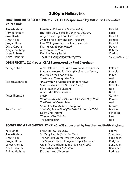## **2.00pm Holiday Inn**

#### **ORATORIO OR SACRED SONG (17 - 21) CLASS sponsored by Millhouse Green Male Voice Choir**

| Joelle Brabban         | How Beautiful are the Feet (Messiah)         | Handel           |
|------------------------|----------------------------------------------|------------------|
| <b>Harriet Astbury</b> | Ich Folge Dir Gleichfalls (Johannes-Passion) | <b>Bach</b>      |
| Rosa Hardy             | Angels ever bright and fair (Theodora)       | Handel           |
| Ann Wilkes             | Angels ever bright and fair (Theodora)       | Handel           |
| Brogan Hume            | How Willing my Paternal Love (Samson)        | Handel           |
| Olivia Caputa          | Fac me vere (Stabat Mater)                   | Haydn            |
| Abigail Kitching       | A Hymn to the Virgin                         | Rubbra           |
| Laura Roberts          | Domine Deus (Gloria)                         | Vivaldi          |
| Anita Chandran         | The Bird's Song (Pilgrim's Progress)         | Vaughan Williams |

#### **OPEN RECITAL (22 & over) CLASS sponsored by Paul Clerehugh**

| Kathryn Straw     | Alma del Core (La costanza in amor vince l'iganno) | Caldara  |
|-------------------|----------------------------------------------------|----------|
|                   | Love is my reason for living (Perchance to Dream)  | Novello  |
|                   | If Music be the Food of Love                       | Purcell  |
|                   | She Moved Through the Fair                         | trad.    |
| Rebecca Schneider | 'Twas within a furlong of Edinboro' town           | Purcell  |
|                   | Some One (A Garland for de la Mare)                | Howells  |
|                   | Hard times of Old England                          | trad.    |
|                   | Adieux de l'Hôtesse Arabe                          | Bizet    |
| Peter Thomson     | Sleep                                              | Gurney   |
|                   | Wondrous Machine (Ode on St. Cecilia's Day: 1692)  | Purcell  |
|                   | The Death of Oueen Jane                            | trad.    |
|                   | Se vuol ballare (Le Nozze di Figaro)               | Mozart   |
| Polly Sedman      | Steal Me, Sweet Thief (The Old Maid and the Thief) | Menotti  |
|                   | Nacht und Traume                                   | Schubert |
|                   | Wonder (Dies Natalis)                              | Finzi    |
|                   | The Leprechaun                                     | trad.    |

#### **SONGS FROM THE SHOWS (17 - 21) CLASS sponsored by Heather and Keith Hoyland**

| Kate Smith       | Show Me (My Fair Lady)                       | Loewe     |
|------------------|----------------------------------------------|-----------|
| Joelle Brabban   | So Many People (Saturday Night)              | Sondheim  |
| Ann Wilkes       | The Girls of Summer (Marry Me a Little)      | Sondheim  |
| Brogan Hume      | The Surrey with the Fringe on Top (Oklahoma) | Rodgers   |
| Lindsey James    | Greenfinch and Linnet Bird (Sweeney Todd)    | Sondheim  |
| Anita Chandran   | Somewhere (West Side Story)                  | Bernstein |
| Abigail Kitching | If I Loved You (Carousel)                    | Rodgers   |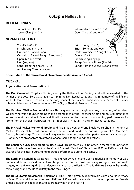**RECITAL FINALS**



#### **Presentation of the above David Clover Non-Recital Winners' Awards**

#### *INTERVAL*

#### **Adjudications and Presentation of**

**The Don Greenfield Trophy** - This is given by the Hallam Choral Society, and will be awarded to the winner of the Vocal Solo Class (age 9 to 12) in the Non-Recital category. It is in memory of the life and work of Don Greenfield, conductor for many years of the Hallam Choral Society, a teacher of primary school children and a former member of The City of Sheffield Teachers' Choir.

**The Kathleen Walker Memorial Prize** - This is given by her daughter Anne, in memory of Kathleen Walker, who was a founder member and accompanist of the Teachers' Choir, and musical director of several operatic societies in Sheffield. It will be awarded for the most outstanding performance of a "Song from the Shows" from Class 16 (13-16) or Class 17 (17-21) in the Non-Recital catagory.

**The Michael Peaker Memorial Trophy and Prize** - is given by Worrall Male Voice Choir in memory of Michael Peaker, of his contribution as accompanist and conductor, and as organist at St. Matthias's Church, Stocksbridge. The award will be given for the most outstanding performance, by anyone aged 21 or under, of an aria from an oratorio, or of a sacred song, during the Festival.

**The Constance Shacklock Memorial Rose Bowl** - This is given by Ralph Green in memory of Constance Shacklock, who was President of the City of Sheffield Teachers' Choir from 1985 to 1999 and will be awarded for the most outstanding operatic performance during the Festival.

**The Edith and Ronald Batty Salvers** - This is given by Valerie and Geoff Littledyke in memory of Val's parents Edith and Ronald Batty. It will be presented to the most promising young female and male singers, respectively, aged 15 or under, from any part of the Festival. The Edith Batty Salver will go to the female singer and the Ronald Batty to the male singer.

**The Doug Crossland Memorial Shield and Prize** - This is given by Worrall Male Voice Choir in memory of Doug Crossland, its conductor from 1971 to 1995 and will be awarded to the most promising female singer between the ages of 16 and 23 from any part of the Festival.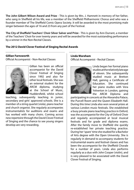**The John Gilbert Wilson Award and Prize** - This is given by Mrs. J. Hamnett in memory of her father, who sang in Sheffield all his life, was a member of the Sheffield Philharmonic Chorus and who was a founder member of The Sheffield Comic Opera Society. It will be awarded to the most promising male singer between the ages of 16 and 23 from any part of the Festival.

**The City of Sheffield Teachers' Choir Silver Salver and Prize** - This is given by Ann Durrant, a member of the Teachers' Choir for over twenty years and will be awarded for the most outstanding performance by a winner in the Non-Recital Classes.

#### **The 2012 David Clover Festival of Singing Recital Awards**

#### **Gillian Farnsworth**

Official Accompanist - Non-Recital Classes



Gillian has been an official accompanist for the David Clover Festival of Singing since 1992 and also for other local festivals. She was an external student for the ARCM diploma, studying at the School of Music, Huddersfield, whilst school

teaching, subsequently teaching in junior, secondary and girls' approved schools. She is a member of a string quartet (viola), piano teacher and church organist. She regularly accompanies instrumentalists for auditions and exams and has worked with many choirs. Coming across new repertoire through the David Clover Festival of Singing and the chance to see young singers develop are very rewarding.

#### **Linda Wareham**

Official Accompanist - Recital Classes



Linda began her formal piano studies at the relatively late age of eleven. She subsequently studied music at Bretton Hall, gaining a Certificate of Education. She continued her piano studies with Vera Yelverton in London, gaining the ARCM Diploma and

participating in concerts at the Alexandra Palace, .<br>the Purcell Room and the Queen Elizabeth Hall. During this time Linda also won several prizes at various London music festivals. She established a busy private piano teaching practice in Oxford, was the accompanist for the City of Oxford Choir and regularly accompanied at local musical festivals and for grade and diploma exams. After the family move to Sheffield she quickly re-established her private teaching practice. During her 'spare' time she studied for a Bachelor of Arts degree with the Open University. She is regularly in demand to accompany students for instrumental exams and festival classes and has been the accompanist for the Sheffield Chorale for a number of years. Linda also performs regularly as a duo with John Cooper (violin), and is very pleased to be associated with the David Clover Festival of Singing.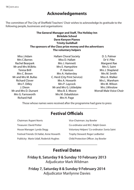## **Acknowledgements**

The committee of The City of Sheffield Teachers' Choir wishes to acknowledge its gratitude to the following people, businesses and organisations:

#### **The General Manager and Staff, The Holiday Inn Birkdale School Dave Kenyon Pianos Trinity Guildhall The sponsors of the Class prize money and the advertisers The voluntary helpers**

Miss J.Adam Mrs C.Barnes Rachel Bearpark Mr and Mrs M.Birks Teresa Brill Mrs C. Brown Mr and Mrs M. Bullas Richard Clover Mrs F. Dilley J. Dixon Mr and Mrs D. Durrant Mrs G. Farnsworth Richard Hall

- Hallam Choral Society Miss D. Hallatt Mrs I. Hamnett Mrs E. Hampshire P. Harrison Mrs A. Hattersley C. Herd (City Print Service) Mrs A. Howarth Mrs P. Laycock Mr and Mrs G. Littledyke Miss B. E. Moore Mrs M. Osbaldiston Mrs H. Page
- D. S. Palmer Dr V. Pike Margaret Rae Mrs S. Saint Mrs J. Shapland Mrs M. Smith Miss A. Walker Mrs L. Wareham Mrs M. Wilson Mrs J.Winslow Worrall Male Voice Choir

Those whose names were received after the programme had gone to press

## **Festival Officials**

| <b>Chairman: Rupert Norris</b>            |
|-------------------------------------------|
| Treasurer: David Potter                   |
| House Manager: Lynda Slegg                |
| Festival Friends: Di Hallat, Anne Howarth |
| Publicity: Marie Udall, Roderick Hughes   |

Vice-Chairman: Joy Bowler Co-ordinator and M.C: Ralph Green Voluntary Helpers' Co-ordinator: Sonia Saint Trophy Steward: Roger Ledbetter Child Protection Officer: Joy Bowler

## **Festival Dates**

**Friday 8, Saturday 9 & Sunday 10 February 2013** Adjudicator Mark Wildman

**Friday 7, Saturday 8 & Sunday 9 February 2014** Adjudicator Marilynne Davies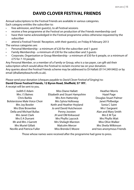## **DAVID CLOVER FESTIVAL FRIENDS**

Annual subscriptions to the Festival Friends are available in various categories. Each category entitles the subscriber to:

- free admission, and their guest(s), to all Festival sessions
- receive a free programme at the Festival on production of the Friends membership card
- have their name acknowledged in the Festival programme unless otherwise requested by the subscriber

attend a Festival Friends' Reception, with their quest(s), on Friday 8 February 2013 The various categories are:

- Personal Membership a minimum of £20 for the subscriber and 1 guest
- • Family Membership a minimum of £30 for the subscriber and 3 guests
- Corporate, Organisation or Group Membership a minimum of £50 for 6 people, or a minimum of £75 for 7-10 people.

Any Personal Member, or a member of a Family or Group, who is a tax payer, can gift-aid their subscription which would allow the Festival to reclaim income tax on your donation. Any queries about the Festival Friends scheme may be addressed to Di Hallatt (0114 249 0402) or by email (dhallatt@beachcroft.co.uk).

Please send your donation (cheques payable to *David Clover Festival of Singing*) to: **David Clover Festival Friends, 12 Byron Road, Sheffield, S7 1RY.**

A receipt will be sent to you.

| Judith E Adam                        | Miss Diane Hallatt             | <b>Heather Morris</b>     |
|--------------------------------------|--------------------------------|---------------------------|
| Mrs J S Baines                       | Elizabeth and Stuart Hampshire | Hazel Page                |
| Chris Barkla                         | Mrs Ann Hattersley             | Douglas Stuart Palmer     |
| <b>Bolsterstone Male Voice Choir</b> | Mrs Sylvia Holloway            | Janet Philbedge           |
| Mrs Joy Bowler                       | Keith and Heather Hoyland      | Sonia C Saint             |
| Mrs Elsie Brownlee                   | Jo and David Hutchesson        | Mrs I Sargeant            |
| Della and Michael Bullas             | Penny Joosten                  | Alan and Mary Smith       |
| Mrs Janet Clark                      | JH and OM Kirkwood             | Mrs E M Tye               |
| Mrs E A Durrant                      | Mrs Phyllis Laycock            | Mrs Phyllis Wait          |
| Mr and Mrs J Garrett                 | Mrs Shelagh Marston            | Miss Olive Walker         |
| <b>Mrs Muriel Gillatt</b>            | Malcolm Mercer                 | Mrs Sheila Wilkinson      |
| Neville and Patricia Fuller          | Miss Brenda E Moore            | and two anonymous Friends |

Those whose names were received after the programme had gone to press.